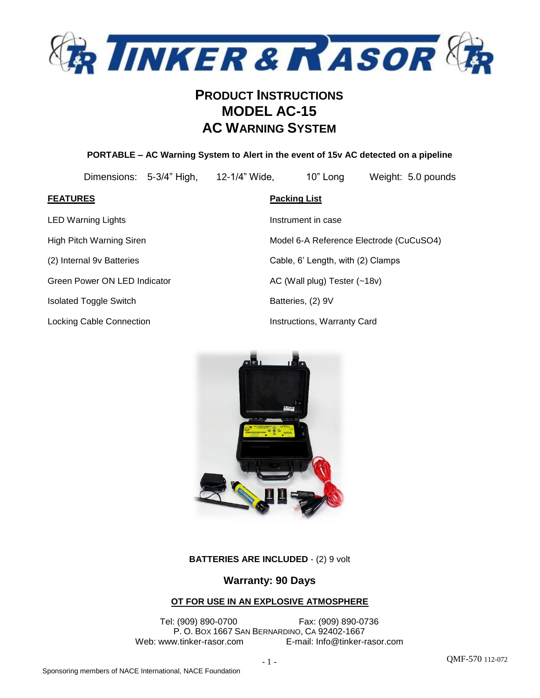

### **PORTABLE – AC Warning System to Alert in the event of 15v AC detected on a pipeline**

Dimensions: 5-3/4" High, 12-1/4" Wide, 10" Long Weight: 5.0 pounds

LED Warning Lights **Instrument in case** 

Green Power ON LED Indicator AC (Wall plug) Tester (~18v)

Isolated Toggle Switch Batteries, (2) 9V

Locking Cable Connection **Instruction** Instructions, Warranty Card

**FEATURES Packing List** High Pitch Warning Siren **Model 6-A Reference Electrode (CuCuSO4)** Model 6-A Reference Electrode (CuCuSO4) (2) Internal 9v Batteries Cable, 6' Length, with (2) Clamps



**BATTERIES ARE INCLUDED** - (2) 9 volt

### **Warranty: 90 Days**

### **OT FOR USE IN AN EXPLOSIVE ATMOSPHERE**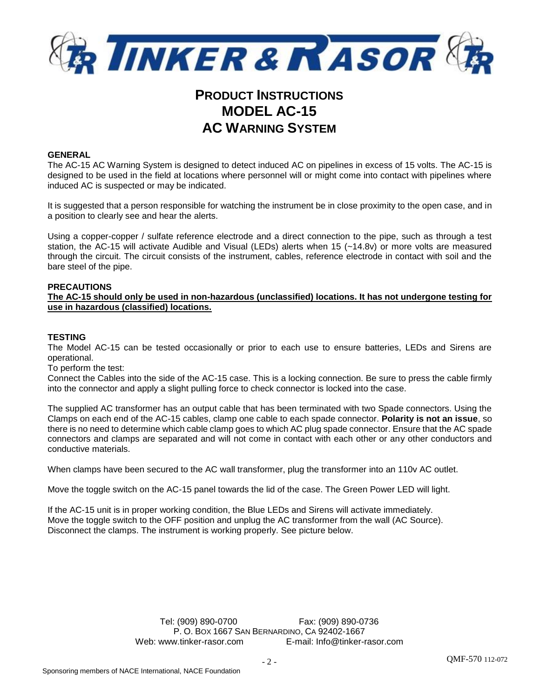

#### **GENERAL**

The AC-15 AC Warning System is designed to detect induced AC on pipelines in excess of 15 volts. The AC-15 is designed to be used in the field at locations where personnel will or might come into contact with pipelines where induced AC is suspected or may be indicated.

It is suggested that a person responsible for watching the instrument be in close proximity to the open case, and in a position to clearly see and hear the alerts.

Using a copper-copper / sulfate reference electrode and a direct connection to the pipe, such as through a test station, the AC-15 will activate Audible and Visual (LEDs) alerts when 15 (~14.8v) or more volts are measured through the circuit. The circuit consists of the instrument, cables, reference electrode in contact with soil and the bare steel of the pipe.

#### **PRECAUTIONS**

**The AC-15 should only be used in non-hazardous (unclassified) locations. It has not undergone testing for use in hazardous (classified) locations.**

#### **TESTING**

The Model AC-15 can be tested occasionally or prior to each use to ensure batteries, LEDs and Sirens are operational.

To perform the test:

Connect the Cables into the side of the AC-15 case. This is a locking connection. Be sure to press the cable firmly into the connector and apply a slight pulling force to check connector is locked into the case.

The supplied AC transformer has an output cable that has been terminated with two Spade connectors. Using the Clamps on each end of the AC-15 cables, clamp one cable to each spade connector. **Polarity is not an issue**, so there is no need to determine which cable clamp goes to which AC plug spade connector. Ensure that the AC spade connectors and clamps are separated and will not come in contact with each other or any other conductors and conductive materials.

When clamps have been secured to the AC wall transformer, plug the transformer into an 110v AC outlet.

Move the toggle switch on the AC-15 panel towards the lid of the case. The Green Power LED will light.

If the AC-15 unit is in proper working condition, the Blue LEDs and Sirens will activate immediately. Move the toggle switch to the OFF position and unplug the AC transformer from the wall (AC Source). Disconnect the clamps. The instrument is working properly. See picture below.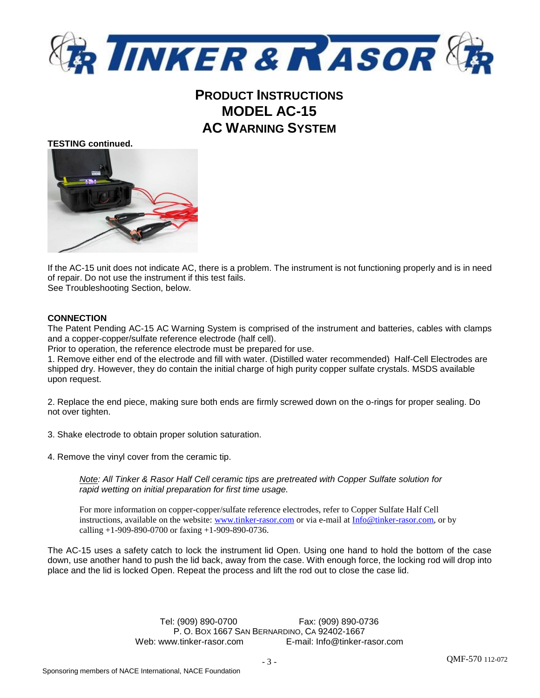

#### **TESTING continued.**



If the AC-15 unit does not indicate AC, there is a problem. The instrument is not functioning properly and is in need of repair. Do not use the instrument if this test fails.

See Troubleshooting Section, below.

### **CONNECTION**

The Patent Pending AC-15 AC Warning System is comprised of the instrument and batteries, cables with clamps and a copper-copper/sulfate reference electrode (half cell).

Prior to operation, the reference electrode must be prepared for use.

1. Remove either end of the electrode and fill with water. (Distilled water recommended) Half-Cell Electrodes are shipped dry. However, they do contain the initial charge of high purity copper sulfate crystals. MSDS available upon request.

2. Replace the end piece, making sure both ends are firmly screwed down on the o-rings for proper sealing. Do not over tighten.

3. Shake electrode to obtain proper solution saturation.

4. Remove the vinyl cover from the ceramic tip.

*Note: All Tinker & Rasor Half Cell ceramic tips are pretreated with Copper Sulfate solution for rapid wetting on initial preparation for first time usage.*

For more information on copper-copper/sulfate reference electrodes, refer to Copper Sulfate Half Cell instructions, available on the website: [www.tinker-rasor.com](http://www.tinker-rasor.com/) or via e-mail a[t Info@tinker-rasor.com,](mailto:Info@tinker-rasor.com) or by calling  $+1-909-890-0700$  or faxing  $+1-909-890-0736$ .

The AC-15 uses a safety catch to lock the instrument lid Open. Using one hand to hold the bottom of the case down, use another hand to push the lid back, away from the case. With enough force, the locking rod will drop into place and the lid is locked Open. Repeat the process and lift the rod out to close the case lid.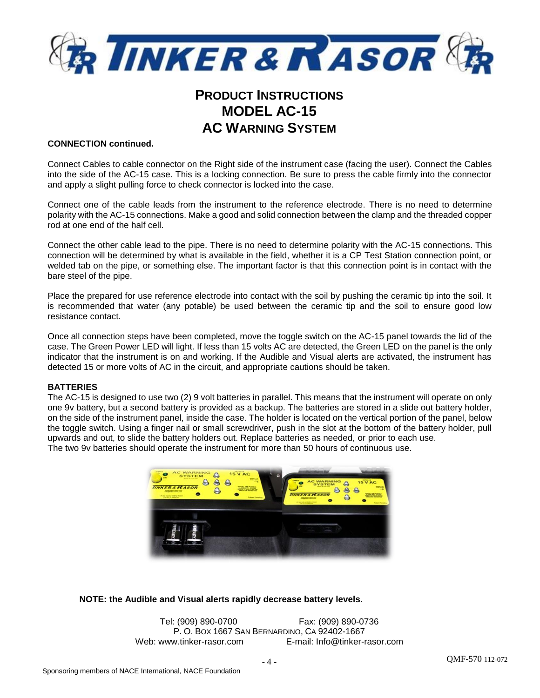

### **CONNECTION continued.**

Connect Cables to cable connector on the Right side of the instrument case (facing the user). Connect the Cables into the side of the AC-15 case. This is a locking connection. Be sure to press the cable firmly into the connector and apply a slight pulling force to check connector is locked into the case.

Connect one of the cable leads from the instrument to the reference electrode. There is no need to determine polarity with the AC-15 connections. Make a good and solid connection between the clamp and the threaded copper rod at one end of the half cell.

Connect the other cable lead to the pipe. There is no need to determine polarity with the AC-15 connections. This connection will be determined by what is available in the field, whether it is a CP Test Station connection point, or welded tab on the pipe, or something else. The important factor is that this connection point is in contact with the bare steel of the pipe.

Place the prepared for use reference electrode into contact with the soil by pushing the ceramic tip into the soil. It is recommended that water (any potable) be used between the ceramic tip and the soil to ensure good low resistance contact.

Once all connection steps have been completed, move the toggle switch on the AC-15 panel towards the lid of the case. The Green Power LED will light. If less than 15 volts AC are detected, the Green LED on the panel is the only indicator that the instrument is on and working. If the Audible and Visual alerts are activated, the instrument has detected 15 or more volts of AC in the circuit, and appropriate cautions should be taken.

### **BATTERIES**

The AC-15 is designed to use two (2) 9 volt batteries in parallel. This means that the instrument will operate on only one 9v battery, but a second battery is provided as a backup. The batteries are stored in a slide out battery holder, on the side of the instrument panel, inside the case. The holder is located on the vertical portion of the panel, below the toggle switch. Using a finger nail or small screwdriver, push in the slot at the bottom of the battery holder, pull upwards and out, to slide the battery holders out. Replace batteries as needed, or prior to each use. The two 9v batteries should operate the instrument for more than 50 hours of continuous use.



### **NOTE: the Audible and Visual alerts rapidly decrease battery levels.**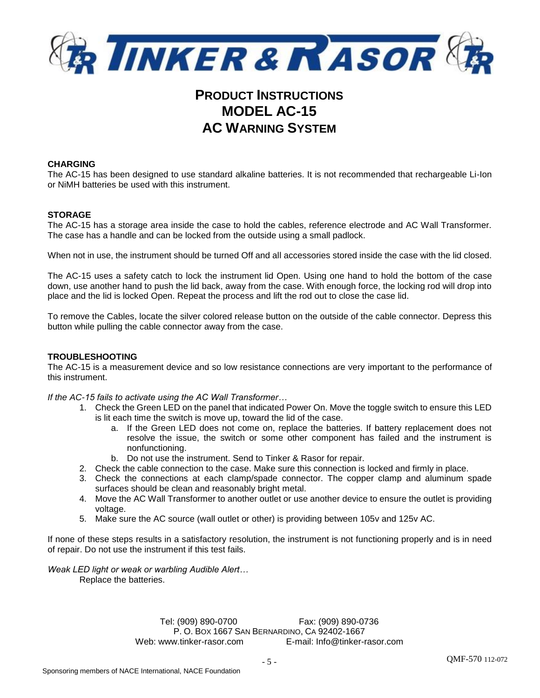

### **CHARGING**

The AC-15 has been designed to use standard alkaline batteries. It is not recommended that rechargeable Li-Ion or NiMH batteries be used with this instrument.

### **STORAGE**

The AC-15 has a storage area inside the case to hold the cables, reference electrode and AC Wall Transformer. The case has a handle and can be locked from the outside using a small padlock.

When not in use, the instrument should be turned Off and all accessories stored inside the case with the lid closed.

The AC-15 uses a safety catch to lock the instrument lid Open. Using one hand to hold the bottom of the case down, use another hand to push the lid back, away from the case. With enough force, the locking rod will drop into place and the lid is locked Open. Repeat the process and lift the rod out to close the case lid.

To remove the Cables, locate the silver colored release button on the outside of the cable connector. Depress this button while pulling the cable connector away from the case.

### **TROUBLESHOOTING**

The AC-15 is a measurement device and so low resistance connections are very important to the performance of this instrument.

*If the AC-15 fails to activate using the AC Wall Transformer…*

- 1. Check the Green LED on the panel that indicated Power On. Move the toggle switch to ensure this LED is lit each time the switch is move up, toward the lid of the case.
	- a. If the Green LED does not come on, replace the batteries. If battery replacement does not resolve the issue, the switch or some other component has failed and the instrument is nonfunctioning.
	- b. Do not use the instrument. Send to Tinker & Rasor for repair.
- 2. Check the cable connection to the case. Make sure this connection is locked and firmly in place.
- 3. Check the connections at each clamp/spade connector. The copper clamp and aluminum spade surfaces should be clean and reasonably bright metal.
- 4. Move the AC Wall Transformer to another outlet or use another device to ensure the outlet is providing voltage.
- 5. Make sure the AC source (wall outlet or other) is providing between 105v and 125v AC.

If none of these steps results in a satisfactory resolution, the instrument is not functioning properly and is in need of repair. Do not use the instrument if this test fails.

*Weak LED light or weak or warbling Audible Alert…* Replace the batteries.